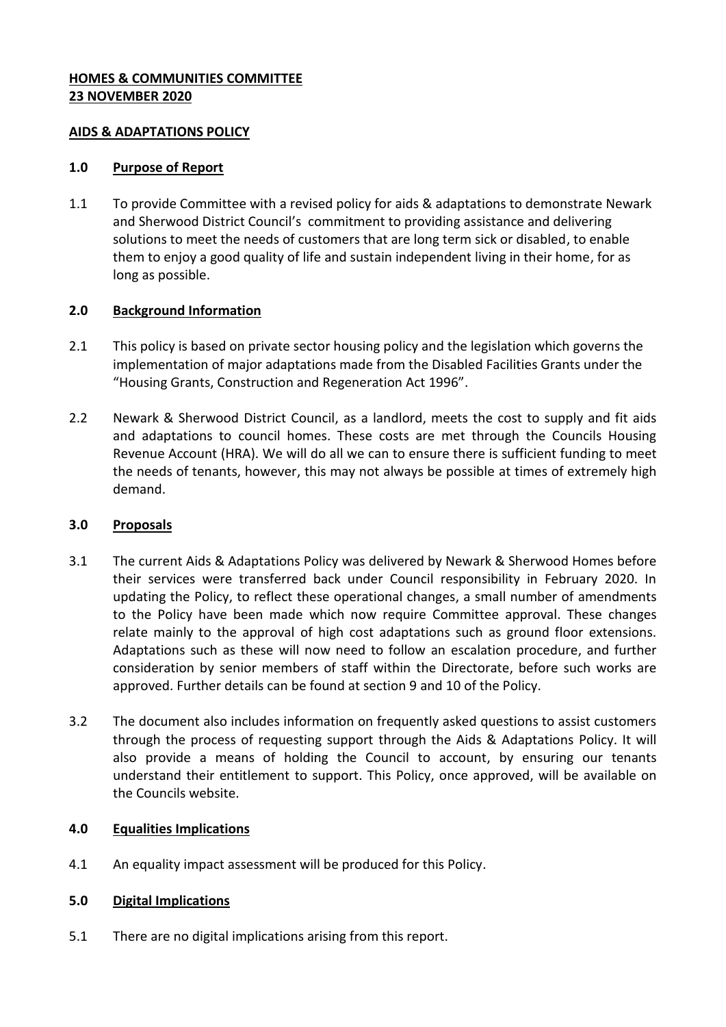## **HOMES & COMMUNITIES COMMITTEE 23 NOVEMBER 2020**

### **AIDS & ADAPTATIONS POLICY**

### **1.0 Purpose of Report**

1.1 To provide Committee with a revised policy for aids & adaptations to demonstrate Newark and Sherwood District Council's commitment to providing assistance and delivering solutions to meet the needs of customers that are long term sick or disabled, to enable them to enjoy a good quality of life and sustain independent living in their home, for as long as possible.

# **2.0 Background Information**

- 2.1 This policy is based on private sector housing policy and the legislation which governs the implementation of major adaptations made from the Disabled Facilities Grants under the "Housing Grants, Construction and Regeneration Act 1996".
- 2.2 Newark & Sherwood District Council, as a landlord, meets the cost to supply and fit aids and adaptations to council homes. These costs are met through the Councils Housing Revenue Account (HRA). We will do all we can to ensure there is sufficient funding to meet the needs of tenants, however, this may not always be possible at times of extremely high demand.

### **3.0 Proposals**

- 3.1 The current Aids & Adaptations Policy was delivered by Newark & Sherwood Homes before their services were transferred back under Council responsibility in February 2020. In updating the Policy, to reflect these operational changes, a small number of amendments to the Policy have been made which now require Committee approval. These changes relate mainly to the approval of high cost adaptations such as ground floor extensions. Adaptations such as these will now need to follow an escalation procedure, and further consideration by senior members of staff within the Directorate, before such works are approved. Further details can be found at section 9 and 10 of the Policy.
- 3.2 The document also includes information on frequently asked questions to assist customers through the process of requesting support through the Aids & Adaptations Policy. It will also provide a means of holding the Council to account, by ensuring our tenants understand their entitlement to support. This Policy, once approved, will be available on the Councils website.

# **4.0 Equalities Implications**

4.1 An equality impact assessment will be produced for this Policy.

### **5.0 Digital Implications**

5.1 There are no digital implications arising from this report.